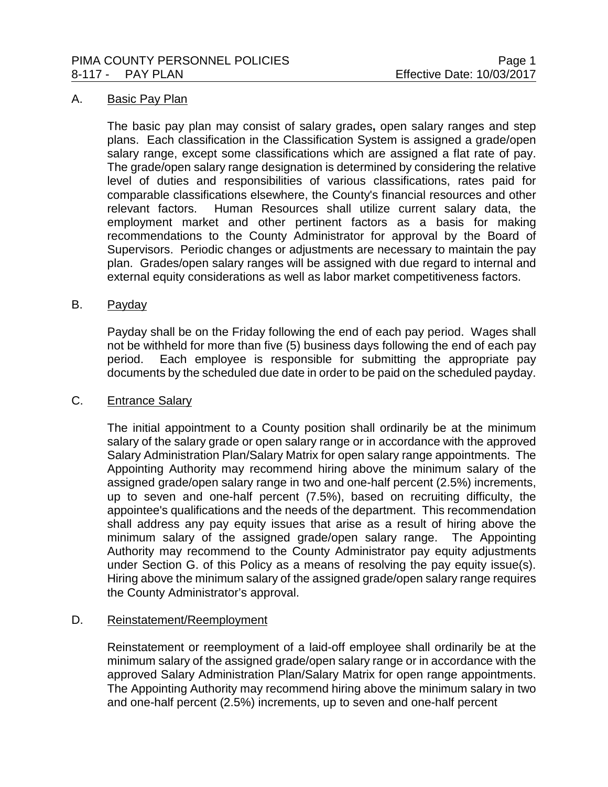#### A. Basic Pay Plan

The basic pay plan may consist of salary grades**,** open salary ranges and step plans. Each classification in the Classification System is assigned a grade/open salary range, except some classifications which are assigned a flat rate of pay. The grade/open salary range designation is determined by considering the relative level of duties and responsibilities of various classifications, rates paid for comparable classifications elsewhere, the County's financial resources and other relevant factors. Human Resources shall utilize current salary data, the employment market and other pertinent factors as a basis for making recommendations to the County Administrator for approval by the Board of Supervisors. Periodic changes or adjustments are necessary to maintain the pay plan. Grades/open salary ranges will be assigned with due regard to internal and external equity considerations as well as labor market competitiveness factors.

#### B. Payday

Payday shall be on the Friday following the end of each pay period. Wages shall not be withheld for more than five (5) business days following the end of each pay period. Each employee is responsible for submitting the appropriate pay documents by the scheduled due date in order to be paid on the scheduled payday.

## C. Entrance Salary

The initial appointment to a County position shall ordinarily be at the minimum salary of the salary grade or open salary range or in accordance with the approved Salary Administration Plan/Salary Matrix for open salary range appointments. The Appointing Authority may recommend hiring above the minimum salary of the assigned grade/open salary range in two and one-half percent (2.5%) increments, up to seven and one-half percent (7.5%), based on recruiting difficulty, the appointee's qualifications and the needs of the department. This recommendation shall address any pay equity issues that arise as a result of hiring above the minimum salary of the assigned grade/open salary range. The Appointing Authority may recommend to the County Administrator pay equity adjustments under Section G. of this Policy as a means of resolving the pay equity issue(s). Hiring above the minimum salary of the assigned grade/open salary range requires the County Administrator's approval.

## D. Reinstatement/Reemployment

Reinstatement or reemployment of a laid-off employee shall ordinarily be at the minimum salary of the assigned grade/open salary range or in accordance with the approved Salary Administration Plan/Salary Matrix for open range appointments. The Appointing Authority may recommend hiring above the minimum salary in two and one-half percent (2.5%) increments, up to seven and one-half percent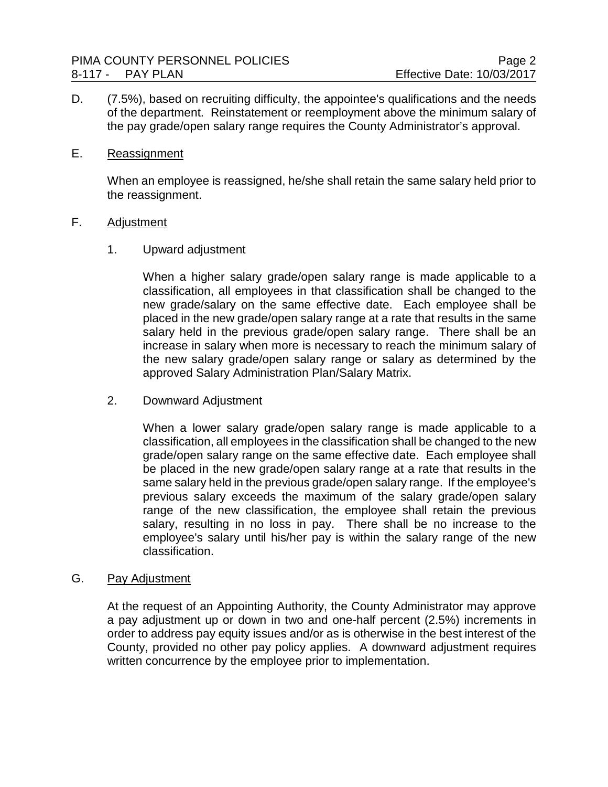D. (7.5%), based on recruiting difficulty, the appointee's qualifications and the needs of the department. Reinstatement or reemployment above the minimum salary of the pay grade/open salary range requires the County Administrator's approval.

## E. Reassignment

When an employee is reassigned, he/she shall retain the same salary held prior to the reassignment.

## F. Adjustment

1. Upward adjustment

When a higher salary grade/open salary range is made applicable to a classification, all employees in that classification shall be changed to the new grade/salary on the same effective date. Each employee shall be placed in the new grade/open salary range at a rate that results in the same salary held in the previous grade/open salary range. There shall be an increase in salary when more is necessary to reach the minimum salary of the new salary grade/open salary range or salary as determined by the approved Salary Administration Plan/Salary Matrix.

2. Downward Adjustment

When a lower salary grade/open salary range is made applicable to a classification, all employees in the classification shall be changed to the new grade/open salary range on the same effective date. Each employee shall be placed in the new grade/open salary range at a rate that results in the same salary held in the previous grade/open salary range. If the employee's previous salary exceeds the maximum of the salary grade/open salary range of the new classification, the employee shall retain the previous salary, resulting in no loss in pay. There shall be no increase to the employee's salary until his/her pay is within the salary range of the new classification.

## G. Pay Adjustment

At the request of an Appointing Authority, the County Administrator may approve a pay adjustment up or down in two and one-half percent (2.5%) increments in order to address pay equity issues and/or as is otherwise in the best interest of the County, provided no other pay policy applies. A downward adjustment requires written concurrence by the employee prior to implementation.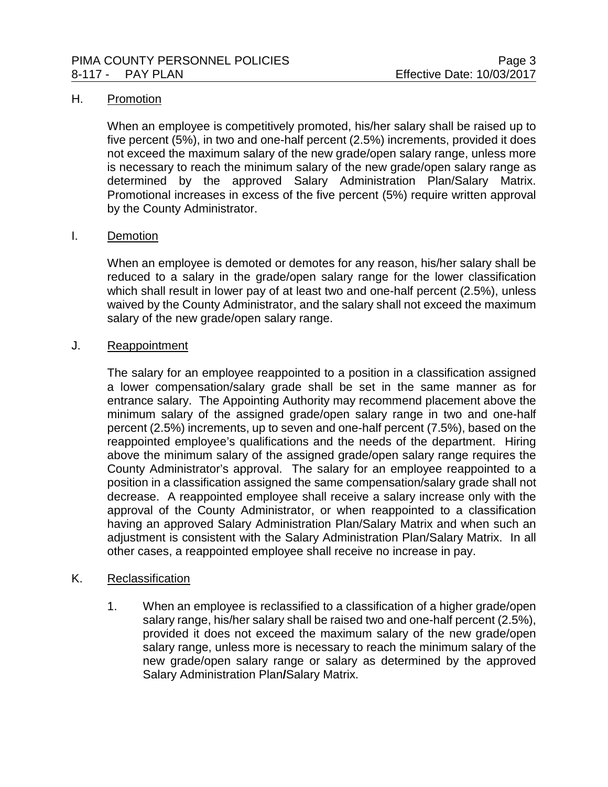## H. Promotion

When an employee is competitively promoted, his/her salary shall be raised up to five percent (5%), in two and one-half percent (2.5%) increments, provided it does not exceed the maximum salary of the new grade/open salary range, unless more is necessary to reach the minimum salary of the new grade/open salary range as determined by the approved Salary Administration Plan/Salary Matrix. Promotional increases in excess of the five percent (5%) require written approval by the County Administrator.

#### I. Demotion

When an employee is demoted or demotes for any reason, his/her salary shall be reduced to a salary in the grade/open salary range for the lower classification which shall result in lower pay of at least two and one-half percent (2.5%), unless waived by the County Administrator, and the salary shall not exceed the maximum salary of the new grade/open salary range.

#### J. Reappointment

The salary for an employee reappointed to a position in a classification assigned a lower compensation/salary grade shall be set in the same manner as for entrance salary. The Appointing Authority may recommend placement above the minimum salary of the assigned grade/open salary range in two and one-half percent (2.5%) increments, up to seven and one-half percent (7.5%), based on the reappointed employee's qualifications and the needs of the department. Hiring above the minimum salary of the assigned grade/open salary range requires the County Administrator's approval. The salary for an employee reappointed to a position in a classification assigned the same compensation/salary grade shall not decrease. A reappointed employee shall receive a salary increase only with the approval of the County Administrator, or when reappointed to a classification having an approved Salary Administration Plan/Salary Matrix and when such an adjustment is consistent with the Salary Administration Plan/Salary Matrix. In all other cases, a reappointed employee shall receive no increase in pay.

## K. Reclassification

1. When an employee is reclassified to a classification of a higher grade/open salary range, his/her salary shall be raised two and one-half percent (2.5%), provided it does not exceed the maximum salary of the new grade/open salary range, unless more is necessary to reach the minimum salary of the new grade/open salary range or salary as determined by the approved Salary Administration Plan**/**Salary Matrix.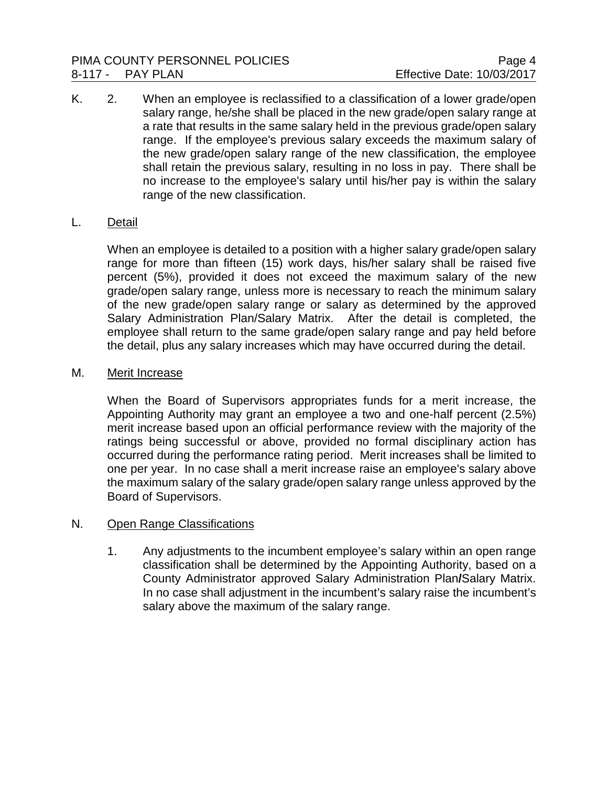K. 2. When an employee is reclassified to a classification of a lower grade/open salary range, he/she shall be placed in the new grade/open salary range at a rate that results in the same salary held in the previous grade/open salary range. If the employee's previous salary exceeds the maximum salary of the new grade/open salary range of the new classification, the employee shall retain the previous salary, resulting in no loss in pay. There shall be no increase to the employee's salary until his/her pay is within the salary range of the new classification.

# L. Detail

When an employee is detailed to a position with a higher salary grade/open salary range for more than fifteen (15) work days, his/her salary shall be raised five percent (5%), provided it does not exceed the maximum salary of the new grade/open salary range, unless more is necessary to reach the minimum salary of the new grade/open salary range or salary as determined by the approved Salary Administration Plan/Salary Matrix. After the detail is completed, the employee shall return to the same grade/open salary range and pay held before the detail, plus any salary increases which may have occurred during the detail.

## M. Merit Increase

When the Board of Supervisors appropriates funds for a merit increase, the Appointing Authority may grant an employee a two and one-half percent (2.5%) merit increase based upon an official performance review with the majority of the ratings being successful or above, provided no formal disciplinary action has occurred during the performance rating period. Merit increases shall be limited to one per year. In no case shall a merit increase raise an employee's salary above the maximum salary of the salary grade/open salary range unless approved by the Board of Supervisors.

## N. Open Range Classifications

1. Any adjustments to the incumbent employee's salary within an open range classification shall be determined by the Appointing Authority, based on a County Administrator approved Salary Administration Plan**/**Salary Matrix. In no case shall adjustment in the incumbent's salary raise the incumbent's salary above the maximum of the salary range.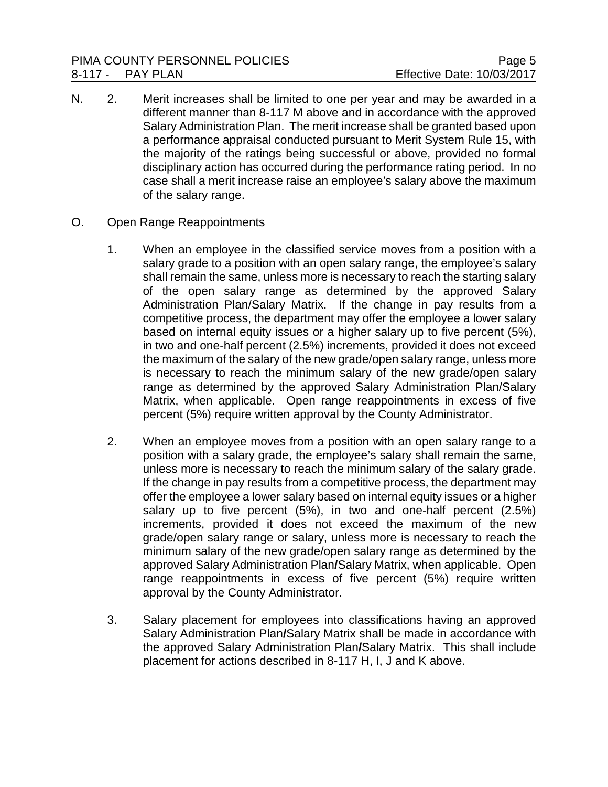N. 2. Merit increases shall be limited to one per year and may be awarded in a different manner than 8-117 M above and in accordance with the approved Salary Administration Plan. The merit increase shall be granted based upon a performance appraisal conducted pursuant to Merit System Rule 15, with the majority of the ratings being successful or above, provided no formal disciplinary action has occurred during the performance rating period. In no case shall a merit increase raise an employee's salary above the maximum of the salary range.

# O. Open Range Reappointments

- 1. When an employee in the classified service moves from a position with a salary grade to a position with an open salary range, the employee's salary shall remain the same, unless more is necessary to reach the starting salary of the open salary range as determined by the approved Salary Administration Plan/Salary Matrix. If the change in pay results from a competitive process, the department may offer the employee a lower salary based on internal equity issues or a higher salary up to five percent (5%), in two and one-half percent (2.5%) increments, provided it does not exceed the maximum of the salary of the new grade/open salary range, unless more is necessary to reach the minimum salary of the new grade/open salary range as determined by the approved Salary Administration Plan/Salary Matrix, when applicable. Open range reappointments in excess of five percent (5%) require written approval by the County Administrator.
- 2. When an employee moves from a position with an open salary range to a position with a salary grade, the employee's salary shall remain the same, unless more is necessary to reach the minimum salary of the salary grade. If the change in pay results from a competitive process, the department may offer the employee a lower salary based on internal equity issues or a higher salary up to five percent (5%), in two and one-half percent (2.5%) increments, provided it does not exceed the maximum of the new grade/open salary range or salary, unless more is necessary to reach the minimum salary of the new grade/open salary range as determined by the approved Salary Administration Plan**/**Salary Matrix, when applicable. Open range reappointments in excess of five percent (5%) require written approval by the County Administrator.
- 3. Salary placement for employees into classifications having an approved Salary Administration Plan**/**Salary Matrix shall be made in accordance with the approved Salary Administration Plan**/**Salary Matrix. This shall include placement for actions described in 8-117 H, I, J and K above.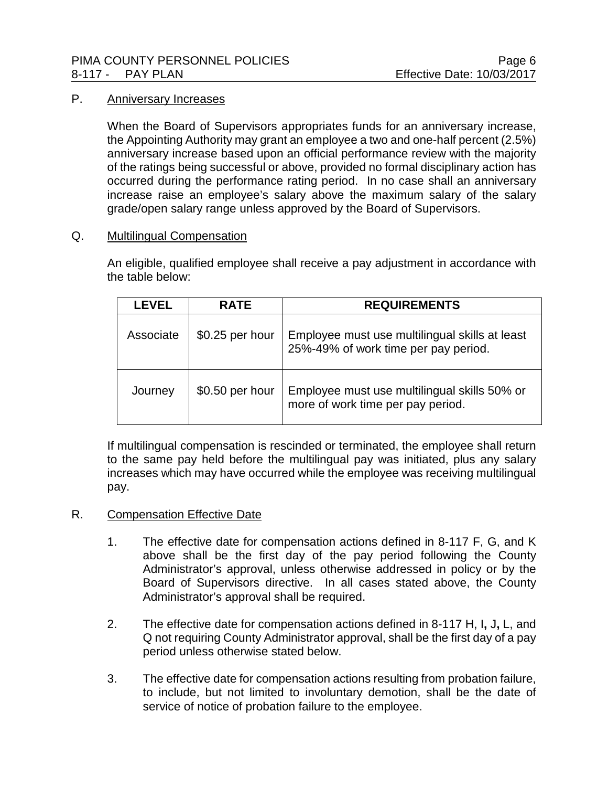## PIMA COUNTY PERSONNEL POLICIES **PROPRIATION** Page 6 8-117 - PAY PLAN Effective Date: 10/03/2017

# P. Anniversary Increases

When the Board of Supervisors appropriates funds for an anniversary increase, the Appointing Authority may grant an employee a two and one-half percent (2.5%) anniversary increase based upon an official performance review with the majority of the ratings being successful or above, provided no formal disciplinary action has occurred during the performance rating period. In no case shall an anniversary increase raise an employee's salary above the maximum salary of the salary grade/open salary range unless approved by the Board of Supervisors.

## Q. Multilingual Compensation

An eligible, qualified employee shall receive a pay adjustment in accordance with the table below:

| I EVEL    | <b>RATE</b>      | <b>REQUIREMENTS</b>                                                                    |
|-----------|------------------|----------------------------------------------------------------------------------------|
| Associate | $$0.25$ per hour | Employee must use multilingual skills at least<br>25%-49% of work time per pay period. |
| Journey   | \$0.50 per hour  | Employee must use multilingual skills 50% or<br>more of work time per pay period.      |

If multilingual compensation is rescinded or terminated, the employee shall return to the same pay held before the multilingual pay was initiated, plus any salary increases which may have occurred while the employee was receiving multilingual pay.

## R. Compensation Effective Date

- 1. The effective date for compensation actions defined in 8-117 F, G, and K above shall be the first day of the pay period following the County Administrator's approval, unless otherwise addressed in policy or by the Board of Supervisors directive. In all cases stated above, the County Administrator's approval shall be required.
- 2. The effective date for compensation actions defined in 8-117 H, I**,** J**,** L, and Q not requiring County Administrator approval, shall be the first day of a pay period unless otherwise stated below.
- 3. The effective date for compensation actions resulting from probation failure, to include, but not limited to involuntary demotion, shall be the date of service of notice of probation failure to the employee.